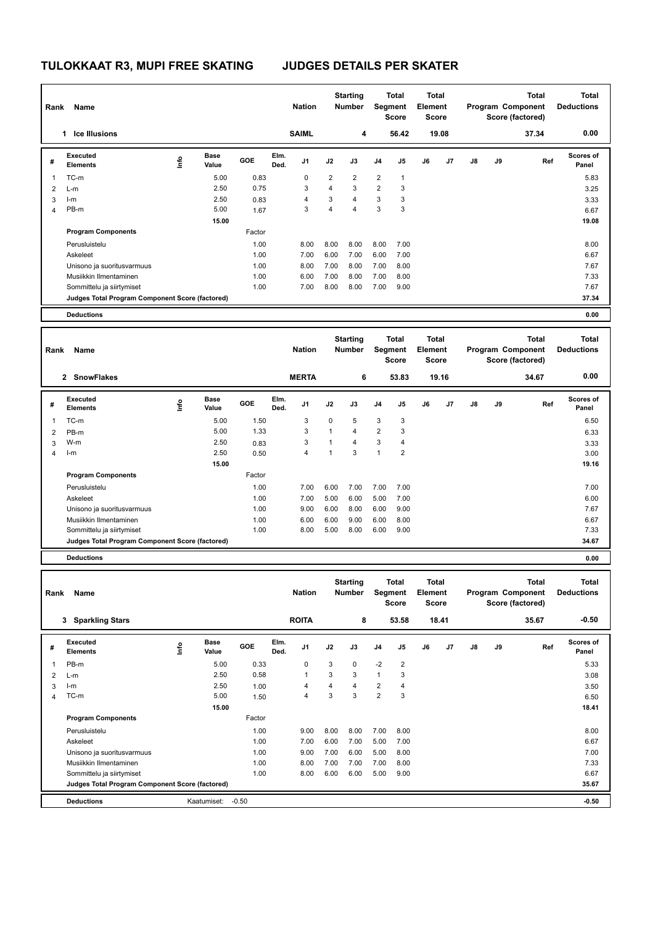| Rank           | Name                                            |      |                    |              |              | <b>Nation</b>  |                | <b>Starting</b><br>Number |                         | Total<br>Segment<br><b>Score</b> | Total<br>Element<br>Score |       |    |    | <b>Total</b><br>Program Component<br>Score (factored) | <b>Total</b><br><b>Deductions</b> |
|----------------|-------------------------------------------------|------|--------------------|--------------|--------------|----------------|----------------|---------------------------|-------------------------|----------------------------------|---------------------------|-------|----|----|-------------------------------------------------------|-----------------------------------|
|                | 1 Ice Illusions                                 |      |                    |              |              | <b>SAIML</b>   |                | 4                         |                         | 56.42                            |                           | 19.08 |    |    | 37.34                                                 | 0.00                              |
| #              | <b>Executed</b><br><b>Elements</b>              | Info | Base<br>Value      | GOE          | Elm.<br>Ded. | J1             | J2             | J3                        | J <sub>4</sub>          | J5                               | J6                        | J7    | J8 | J9 | Ref                                                   | <b>Scores of</b><br>Panel         |
| 1              | TC-m                                            |      | 5.00               | 0.83         |              | 0              | $\overline{2}$ | 2                         | $\overline{\mathbf{c}}$ | $\mathbf{1}$                     |                           |       |    |    |                                                       | 5.83                              |
| 2              | L-m                                             |      | 2.50               | 0.75         |              | 3              | $\overline{4}$ | 3                         | $\overline{2}$          | 3                                |                           |       |    |    |                                                       | 3.25                              |
| 3              | $l-m$                                           |      | 2.50               | 0.83         |              | $\overline{4}$ | 3              | 4                         | 3                       | 3                                |                           |       |    |    |                                                       | 3.33                              |
| 4              | PB-m                                            |      | 5.00               | 1.67         |              | 3              | $\overline{4}$ | 4                         | 3                       | 3                                |                           |       |    |    |                                                       | 6.67                              |
|                |                                                 |      | 15.00              |              |              |                |                |                           |                         |                                  |                           |       |    |    |                                                       | 19.08                             |
|                | <b>Program Components</b>                       |      |                    | Factor       |              |                |                |                           |                         |                                  |                           |       |    |    |                                                       |                                   |
|                | Perusluistelu                                   |      |                    | 1.00         |              | 8.00           | 8.00           | 8.00                      | 8.00                    | 7.00                             |                           |       |    |    |                                                       | 8.00                              |
|                | Askeleet                                        |      |                    | 1.00         |              | 7.00           | 6.00           | 7.00                      | 6.00                    | 7.00                             |                           |       |    |    |                                                       | 6.67                              |
|                | Unisono ja suoritusvarmuus                      |      |                    | 1.00         |              | 8.00           | 7.00           | 8.00                      | 7.00                    | 8.00                             |                           |       |    |    |                                                       | 7.67                              |
|                | Musiikkin Ilmentaminen                          |      |                    | 1.00         |              | 6.00           | 7.00           | 8.00                      | 7.00                    | 8.00                             |                           |       |    |    |                                                       | 7.33                              |
|                | Sommittelu ja siirtymiset                       |      |                    | 1.00         |              | 7.00           | 8.00           | 8.00                      | 7.00                    | 9.00                             |                           |       |    |    |                                                       | 7.67                              |
|                | Judges Total Program Component Score (factored) |      |                    |              |              |                |                |                           |                         |                                  |                           |       |    |    |                                                       | 37.34                             |
|                | <b>Deductions</b>                               |      |                    |              |              |                |                |                           |                         |                                  |                           |       |    |    |                                                       | 0.00                              |
|                |                                                 |      |                    |              |              |                |                |                           |                         |                                  |                           |       |    |    |                                                       |                                   |
|                |                                                 |      |                    |              |              |                |                | <b>Starting</b>           |                         | Total                            | <b>Total</b>              |       |    |    | <b>Total</b>                                          | <b>Total</b>                      |
| Rank           | Name                                            |      |                    |              |              | <b>Nation</b>  |                | <b>Number</b>             |                         | Segment<br><b>Score</b>          | <b>Element</b><br>Score   |       |    |    | Program Component<br>Score (factored)                 | <b>Deductions</b>                 |
|                | 2 SnowFlakes                                    |      |                    |              |              | <b>MERTA</b>   |                | 6                         |                         | 53.83                            |                           | 19.16 |    |    | 34.67                                                 | 0.00                              |
|                | <b>Executed</b>                                 |      | <b>Base</b>        |              | Elm.         |                |                |                           |                         |                                  |                           |       |    |    |                                                       | Scores of                         |
| #              | <b>Elements</b>                                 | lnfo | Value              | GOE          | Ded.         | J1             | J2             | J3                        | J4                      | J5                               | J6                        | J7    | J8 | J9 | Ref                                                   | Panel                             |
| 1              | TC-m                                            |      | 5.00               | 1.50         |              | 3              | 0              | 5                         | 3                       | 3                                |                           |       |    |    |                                                       | 6.50                              |
| $\overline{2}$ | PB-m                                            |      | 5.00               | 1.33         |              | 3              | $\mathbf{1}$   | 4                         | $\overline{2}$          | $\mathbf{3}$                     |                           |       |    |    |                                                       | 6.33                              |
| 3              | W-m                                             |      | 2.50               | 0.83         |              | 3              | $\mathbf{1}$   | 4                         | 3                       | 4                                |                           |       |    |    |                                                       | 3.33                              |
| 4              | $l-m$                                           |      | 2.50               | 0.50         |              | 4              | $\mathbf{1}$   | 3                         | $\mathbf{1}$            | $\overline{2}$                   |                           |       |    |    |                                                       | 3.00                              |
|                |                                                 |      | 15.00              |              |              |                |                |                           |                         |                                  |                           |       |    |    |                                                       | 19.16                             |
|                | <b>Program Components</b>                       |      |                    | Factor       |              |                |                |                           |                         |                                  |                           |       |    |    |                                                       |                                   |
|                | Perusluistelu                                   |      |                    | 1.00         |              | 7.00           | 6.00           | 7.00                      | 7.00                    | 7.00                             |                           |       |    |    |                                                       | 7.00                              |
|                | Askeleet                                        |      |                    | 1.00         |              | 7.00           | 5.00           | 6.00                      | 5.00                    | 7.00                             |                           |       |    |    |                                                       | 6.00                              |
|                |                                                 |      |                    | 1.00         |              |                |                |                           | 6.00                    |                                  |                           |       |    |    |                                                       | 7.67                              |
|                | Unisono ja suoritusvarmuus                      |      |                    | 1.00         |              | 9.00<br>6.00   | 6.00<br>6.00   | 8.00<br>9.00              | 6.00                    | 9.00<br>8.00                     |                           |       |    |    |                                                       | 6.67                              |
|                | Musiikkin Ilmentaminen                          |      |                    | 1.00         |              | 8.00           | 5.00           | 8.00                      | 6.00                    | 9.00                             |                           |       |    |    |                                                       | 7.33                              |
|                | Sommittelu ja siirtymiset                       |      |                    |              |              |                |                |                           |                         |                                  |                           |       |    |    |                                                       | 34.67                             |
|                | Judges Total Program Component Score (factored) |      |                    |              |              |                |                |                           |                         |                                  |                           |       |    |    |                                                       |                                   |
|                | <b>Deductions</b>                               |      |                    |              |              |                |                |                           |                         |                                  |                           |       |    |    |                                                       | 0.00                              |
|                |                                                 |      |                    |              |              |                |                | <b>Starting</b>           |                         | Total                            | Total                     |       |    |    | Total                                                 | Total                             |
| Rank           | Name                                            |      |                    |              |              | <b>Nation</b>  |                | Number                    |                         | Segment                          | Element                   |       |    |    | Program Component                                     | <b>Deductions</b>                 |
|                |                                                 |      |                    |              |              |                |                |                           |                         | Score                            | Score                     |       |    |    | Score (factored)                                      |                                   |
|                | 3 Sparkling Stars                               |      |                    |              |              | <b>ROITA</b>   |                | 8                         |                         | 53.58                            | 18.41                     |       |    |    | 35.67                                                 | -0.50                             |
|                |                                                 |      |                    |              |              |                |                |                           |                         |                                  |                           |       |    |    |                                                       |                                   |
| #              | <b>Executed</b><br><b>Elements</b>              | ١nfo | Base<br>Value      | GOE          | Elm.<br>Ded. | J1             | J2             | J3                        | J4                      | J5                               | J6                        | J7    | J8 | J9 | Ref                                                   | Scores of<br>Panel                |
|                |                                                 |      |                    |              |              | 0              |                | 0                         |                         |                                  |                           |       |    |    |                                                       |                                   |
| 1              | PB-m                                            |      | 5.00<br>2.50       | 0.33<br>0.58 |              | 1              | 3<br>3         | 3                         | $-2$<br>1               | $\overline{c}$<br>3              |                           |       |    |    |                                                       | 5.33                              |
| $\overline{2}$ | $L-m$<br>$l-m$                                  |      | 2.50               |              |              | 4              | 4              | 4                         | 2                       | 4                                |                           |       |    |    |                                                       | 3.08                              |
| 3<br>4         | TC-m                                            |      | 5.00               | 1.00<br>1.50 |              | $\overline{4}$ | 3              | 3                         | $\overline{2}$          | 3                                |                           |       |    |    |                                                       | 3.50<br>6.50                      |
|                |                                                 |      | 15.00              |              |              |                |                |                           |                         |                                  |                           |       |    |    |                                                       | 18.41                             |
|                | <b>Program Components</b>                       |      |                    | Factor       |              |                |                |                           |                         |                                  |                           |       |    |    |                                                       |                                   |
|                |                                                 |      |                    |              |              |                |                |                           |                         |                                  |                           |       |    |    |                                                       |                                   |
|                | Perusluistelu                                   |      |                    | 1.00         |              | 9.00           | 8.00           | 8.00                      | 7.00                    | 8.00                             |                           |       |    |    |                                                       | 8.00                              |
|                | Askeleet                                        |      |                    | 1.00         |              | 7.00           | 6.00           | 7.00                      | 5.00                    | 7.00                             |                           |       |    |    |                                                       | 6.67                              |
|                | Unisono ja suoritusvarmuus                      |      |                    | 1.00         |              | 9.00           | 7.00           | 6.00                      | 5.00                    | 8.00                             |                           |       |    |    |                                                       | 7.00                              |
|                | Musiikkin Ilmentaminen                          |      |                    | 1.00         |              | 8.00           | 7.00           | 7.00<br>6.00              | 7.00<br>5.00            | 8.00<br>9.00                     |                           |       |    |    |                                                       | 7.33                              |
|                | Sommittelu ja siirtymiset                       |      |                    | 1.00         |              | 8.00           | 6.00           |                           |                         |                                  |                           |       |    |    |                                                       | 6.67                              |
|                | Judges Total Program Component Score (factored) |      |                    |              |              |                |                |                           |                         |                                  |                           |       |    |    |                                                       | 35.67                             |
|                | <b>Deductions</b>                               |      | Kaatumiset: - 0.50 |              |              |                |                |                           |                         |                                  |                           |       |    |    |                                                       | $-0.50$                           |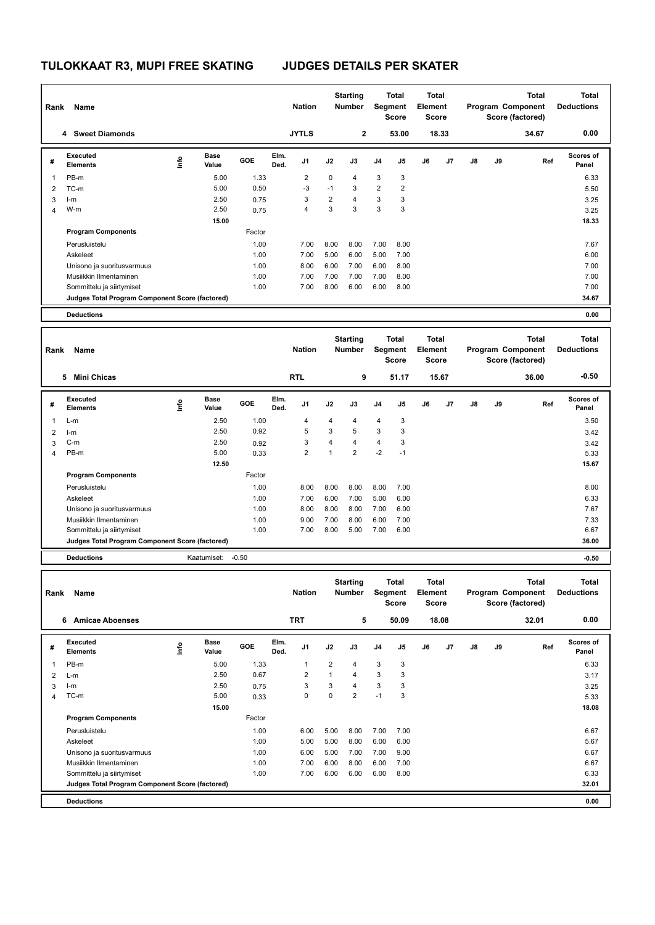| Rank           | Name                                            |      |               |              |              | <b>Nation</b>           |                | <b>Starting</b><br>Number | Total<br>Segment<br><b>Score</b> |                         | Total<br><b>Element</b><br>Score |       |    |    | <b>Total</b><br>Program Component<br>Score (factored) | <b>Total</b><br><b>Deductions</b> |
|----------------|-------------------------------------------------|------|---------------|--------------|--------------|-------------------------|----------------|---------------------------|----------------------------------|-------------------------|----------------------------------|-------|----|----|-------------------------------------------------------|-----------------------------------|
|                | 4 Sweet Diamonds                                |      |               |              |              | <b>JYTLS</b>            |                | 2                         |                                  | 53.00                   |                                  | 18.33 |    |    | 34.67                                                 | 0.00                              |
| #              | <b>Executed</b><br><b>Elements</b>              | Info | Base<br>Value | GOE          | Elm.<br>Ded. | J1                      | J2             | J3                        | J <sub>4</sub>                   | J5                      | J6                               | J7    | J8 | J9 | Ref                                                   | <b>Scores of</b><br>Panel         |
| 1              | PB-m                                            |      | 5.00          | 1.33         |              | 2                       | 0              | 4                         | 3                                | 3                       |                                  |       |    |    |                                                       | 6.33                              |
| 2              | TC-m                                            |      | 5.00          | 0.50         |              | $-3$                    | $-1$           | 3                         | $\overline{2}$                   | $\overline{2}$          |                                  |       |    |    |                                                       | 5.50                              |
| 3              | $l-m$                                           |      | 2.50          | 0.75         |              | 3                       | $\overline{2}$ | 4                         | 3                                | 3                       |                                  |       |    |    |                                                       | 3.25                              |
| 4              | W-m                                             |      | 2.50          | 0.75         |              | 4                       | 3              | 3                         | 3                                | 3                       |                                  |       |    |    |                                                       | 3.25                              |
|                |                                                 |      | 15.00         |              |              |                         |                |                           |                                  |                         |                                  |       |    |    |                                                       | 18.33                             |
|                | <b>Program Components</b>                       |      |               | Factor       |              |                         |                |                           |                                  |                         |                                  |       |    |    |                                                       |                                   |
|                | Perusluistelu                                   |      |               | 1.00         |              | 7.00                    | 8.00           | 8.00                      | 7.00                             | 8.00                    |                                  |       |    |    |                                                       | 7.67                              |
|                | Askeleet                                        |      |               | 1.00         |              | 7.00                    | 5.00           | 6.00                      | 5.00                             | 7.00                    |                                  |       |    |    |                                                       | 6.00                              |
|                |                                                 |      |               | 1.00         |              | 8.00                    | 6.00           | 7.00                      | 6.00                             | 8.00                    |                                  |       |    |    |                                                       | 7.00                              |
|                | Unisono ja suoritusvarmuus                      |      |               |              |              |                         |                | 7.00                      | 7.00                             |                         |                                  |       |    |    |                                                       | 7.00                              |
|                | Musiikkin Ilmentaminen                          |      |               | 1.00<br>1.00 |              | 7.00<br>7.00            | 7.00<br>8.00   | 6.00                      | 6.00                             | 8.00<br>8.00            |                                  |       |    |    |                                                       | 7.00                              |
|                | Sommittelu ja siirtymiset                       |      |               |              |              |                         |                |                           |                                  |                         |                                  |       |    |    |                                                       |                                   |
|                | Judges Total Program Component Score (factored) |      |               |              |              |                         |                |                           |                                  |                         |                                  |       |    |    |                                                       | 34.67                             |
|                | <b>Deductions</b>                               |      |               |              |              |                         |                |                           |                                  |                         |                                  |       |    |    |                                                       | 0.00                              |
|                |                                                 |      |               |              |              |                         |                | <b>Starting</b>           |                                  | Total                   | <b>Total</b>                     |       |    |    | <b>Total</b>                                          | <b>Total</b>                      |
| Rank           | Name                                            |      |               |              |              | <b>Nation</b>           |                | <b>Number</b>             |                                  | Segment<br><b>Score</b> | Element<br>Score                 |       |    |    | Program Component<br>Score (factored)                 | <b>Deductions</b>                 |
|                | <b>Mini Chicas</b><br>5.                        |      |               |              |              | <b>RTL</b>              |                | 9                         |                                  | 51.17                   |                                  | 15.67 |    |    | 36.00                                                 | $-0.50$                           |
|                | <b>Executed</b>                                 |      | <b>Base</b>   |              | Elm.         |                         |                |                           |                                  |                         |                                  |       |    |    |                                                       | Scores of                         |
| #              | <b>Elements</b>                                 | lnfo | Value         | GOE          | Ded.         | J1                      | J2             | J3                        | J4                               | J5                      | J6                               | J7    | J8 | J9 | Ref                                                   | Panel                             |
| 1              | $L-m$                                           |      | 2.50          | 1.00         |              | $\overline{4}$          | 4              | 4                         | 4                                | 3                       |                                  |       |    |    |                                                       | 3.50                              |
| $\overline{2}$ | $l-m$                                           |      | 2.50          | 0.92         |              | 5                       | 3              | 5                         | 3                                | $\mathbf{3}$            |                                  |       |    |    |                                                       | 3.42                              |
| 3              | $C-m$                                           |      | 2.50          | 0.92         |              | 3                       | $\overline{4}$ | 4                         | 4                                | 3                       |                                  |       |    |    |                                                       | 3.42                              |
| 4              | PB-m                                            |      | 5.00          | 0.33         |              | $\overline{2}$          | $\mathbf{1}$   | $\overline{2}$            | $-2$                             | $-1$                    |                                  |       |    |    |                                                       | 5.33                              |
|                |                                                 |      | 12.50         |              |              |                         |                |                           |                                  |                         |                                  |       |    |    |                                                       | 15.67                             |
|                | <b>Program Components</b>                       |      |               | Factor       |              |                         |                |                           |                                  |                         |                                  |       |    |    |                                                       |                                   |
|                | Perusluistelu                                   |      |               | 1.00         |              | 8.00                    | 8.00           | 8.00                      | 8.00                             | 7.00                    |                                  |       |    |    |                                                       | 8.00                              |
|                |                                                 |      |               |              |              |                         |                |                           |                                  |                         |                                  |       |    |    |                                                       |                                   |
|                | Askeleet                                        |      |               | 1.00         |              | 7.00                    | 6.00           | 7.00                      | 5.00                             | 6.00                    |                                  |       |    |    |                                                       | 6.33                              |
|                | Unisono ja suoritusvarmuus                      |      |               | 1.00         |              | 8.00                    | 8.00           | 8.00                      | 7.00                             | 6.00                    |                                  |       |    |    |                                                       | 7.67                              |
|                | Musiikkin Ilmentaminen                          |      |               | 1.00         |              | 9.00                    | 7.00           | 8.00                      | 6.00                             | 7.00                    |                                  |       |    |    |                                                       | 7.33                              |
|                | Sommittelu ja siirtymiset                       |      |               | 1.00         |              | 7.00                    | 8.00           | 5.00                      | 7.00                             | 6.00                    |                                  |       |    |    |                                                       | 6.67                              |
|                | Judges Total Program Component Score (factored) |      |               |              |              |                         |                |                           |                                  |                         |                                  |       |    |    |                                                       | 36.00                             |
|                | <b>Deductions</b>                               |      | Kaatumiset:   | $-0.50$      |              |                         |                |                           |                                  |                         |                                  |       |    |    |                                                       | $-0.50$                           |
|                |                                                 |      |               |              |              |                         |                | <b>Starting</b>           |                                  | Total                   | Total                            |       |    |    | Total                                                 | Total                             |
| Rank           | Name                                            |      |               |              |              | <b>Nation</b>           |                | Number                    |                                  | Segment<br>Score        | Element<br>Score                 |       |    |    | Program Component<br>Score (factored)                 | <b>Deductions</b>                 |
|                | 6 Amicae Aboenses                               |      |               |              |              | <b>TRT</b>              |                | 5                         |                                  | 50.09                   |                                  | 18.08 |    |    | 32.01                                                 | 0.00                              |
| #              | <b>Executed</b><br><b>Elements</b>              | ١nfo | Base<br>Value | GOE          | Elm.<br>Ded. | J1                      | J2             | J3                        | J4                               | J5                      | J6                               | J7    | J8 | J9 | Ref                                                   | Scores of<br>Panel                |
| 1              | PB-m                                            |      | 5.00          | 1.33         |              | 1                       | 2              | 4                         | 3                                | 3                       |                                  |       |    |    |                                                       | 6.33                              |
| $\overline{2}$ | $L-m$                                           |      | 2.50          | 0.67         |              | $\overline{\mathbf{c}}$ | 1              | 4                         | 3                                | 3                       |                                  |       |    |    |                                                       | 3.17                              |
| 3              | $l-m$                                           |      | 2.50          | 0.75         |              | 3                       | 3              | 4                         | 3                                | 3                       |                                  |       |    |    |                                                       | 3.25                              |
| 4              | TC-m                                            |      | 5.00          | 0.33         |              | $\mathbf 0$             | 0              | 2                         | $-1$                             | 3                       |                                  |       |    |    |                                                       | 5.33                              |
|                |                                                 |      | 15.00         |              |              |                         |                |                           |                                  |                         |                                  |       |    |    |                                                       | 18.08                             |
|                | <b>Program Components</b>                       |      |               | Factor       |              |                         |                |                           |                                  |                         |                                  |       |    |    |                                                       |                                   |
|                | Perusluistelu                                   |      |               | 1.00         |              | 6.00                    | 5.00           | 8.00                      | 7.00                             | 7.00                    |                                  |       |    |    |                                                       |                                   |
|                |                                                 |      |               |              |              |                         |                |                           |                                  |                         |                                  |       |    |    |                                                       | 6.67                              |
|                | Askeleet                                        |      |               | 1.00         |              | 5.00                    | 5.00           | 8.00                      | 6.00                             | 6.00                    |                                  |       |    |    |                                                       | 5.67                              |
|                | Unisono ja suoritusvarmuus                      |      |               | 1.00         |              | 6.00                    | 5.00           | 7.00                      | 7.00                             | 9.00                    |                                  |       |    |    |                                                       | 6.67                              |
|                | Musiikkin Ilmentaminen                          |      |               | 1.00         |              | 7.00                    | 6.00           | 8.00                      | 6.00                             | 7.00                    |                                  |       |    |    |                                                       | 6.67                              |
|                | Sommittelu ja siirtymiset                       |      |               | 1.00         |              | 7.00                    | 6.00           | 6.00                      | 6.00                             | 8.00                    |                                  |       |    |    |                                                       | 6.33                              |
|                | Judges Total Program Component Score (factored) |      |               |              |              |                         |                |                           |                                  |                         |                                  |       |    |    |                                                       | 32.01                             |
|                | <b>Deductions</b>                               |      |               |              |              |                         |                |                           |                                  |                         |                                  |       |    |    |                                                       | 0.00                              |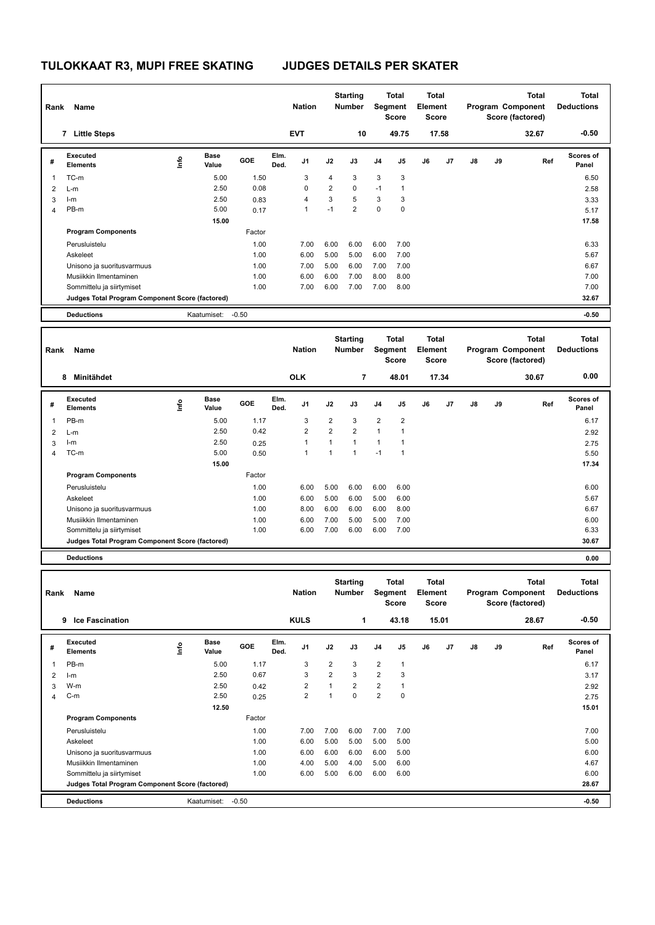| Rank           | Name                                            |      |                      |              |              | <b>Nation</b>  |                 | <b>Starting</b><br>Number |                         | Total<br>Segment<br><b>Score</b> | <b>Total</b><br><b>Element</b><br><b>Score</b> |       |    |    | <b>Total</b><br>Program Component<br>Score (factored) | <b>Total</b><br><b>Deductions</b> |
|----------------|-------------------------------------------------|------|----------------------|--------------|--------------|----------------|-----------------|---------------------------|-------------------------|----------------------------------|------------------------------------------------|-------|----|----|-------------------------------------------------------|-----------------------------------|
|                | 7 Little Steps                                  |      |                      |              |              | <b>EVT</b>     |                 | 10                        |                         | 49.75                            |                                                | 17.58 |    |    | 32.67                                                 | $-0.50$                           |
| #              | <b>Executed</b><br><b>Elements</b>              | lnfo | <b>Base</b><br>Value | GOE          | Elm.<br>Ded. | J1             | J2              | J3                        | J4                      | J5                               | J6                                             | J7    | J8 | J9 | Ref                                                   | Scores of<br>Panel                |
| 1              | TC-m                                            |      | 5.00                 | 1.50         |              | 3              | 4               | 3                         | 3                       | 3                                |                                                |       |    |    |                                                       | 6.50                              |
| 2              | L-m                                             |      | 2.50                 | 0.08         |              | 0              | $\overline{2}$  | 0                         | $-1$                    | $\mathbf{1}$                     |                                                |       |    |    |                                                       | 2.58                              |
| 3              | I-m                                             |      | 2.50                 | 0.83         |              | 4              | 3               | 5                         | 3                       | 3                                |                                                |       |    |    |                                                       | 3.33                              |
| $\overline{4}$ | PB-m                                            |      | 5.00                 | 0.17         |              | $\mathbf{1}$   | $-1$            | $\overline{2}$            | 0                       | $\pmb{0}$                        |                                                |       |    |    |                                                       | 5.17                              |
|                |                                                 |      | 15.00                |              |              |                |                 |                           |                         |                                  |                                                |       |    |    |                                                       | 17.58                             |
|                | <b>Program Components</b>                       |      |                      | Factor       |              |                |                 |                           |                         |                                  |                                                |       |    |    |                                                       |                                   |
|                | Perusluistelu                                   |      |                      | 1.00         |              | 7.00           | 6.00            | 6.00                      | 6.00                    | 7.00                             |                                                |       |    |    |                                                       | 6.33                              |
|                | Askeleet                                        |      |                      | 1.00         |              | 6.00           | 5.00            | 5.00                      | 6.00                    | 7.00                             |                                                |       |    |    |                                                       | 5.67                              |
|                | Unisono ja suoritusvarmuus                      |      |                      | 1.00         |              | 7.00           | 5.00            | 6.00                      | 7.00                    | 7.00                             |                                                |       |    |    |                                                       | 6.67                              |
|                | Musiikkin Ilmentaminen                          |      |                      | 1.00         |              | 6.00           | 6.00            | 7.00                      | 8.00                    | 8.00                             |                                                |       |    |    |                                                       | 7.00                              |
|                | Sommittelu ja siirtymiset                       |      |                      | 1.00         |              | 7.00           | 6.00            | 7.00                      | 7.00                    | 8.00                             |                                                |       |    |    |                                                       | 7.00                              |
|                | Judges Total Program Component Score (factored) |      |                      |              |              |                |                 |                           |                         |                                  |                                                |       |    |    |                                                       | 32.67                             |
|                | <b>Deductions</b>                               |      | Kaatumiset:          | $-0.50$      |              |                |                 |                           |                         |                                  |                                                |       |    |    |                                                       | $-0.50$                           |
|                |                                                 |      |                      |              |              |                |                 |                           |                         |                                  |                                                |       |    |    |                                                       |                                   |
|                |                                                 |      |                      |              |              |                | <b>Starting</b> |                           |                         | <b>Total</b>                     | Total                                          |       |    |    | <b>Total</b>                                          | <b>Total</b>                      |
| Rank           | Name                                            |      |                      |              |              | <b>Nation</b>  |                 | Number                    | Segment<br><b>Score</b> |                                  | <b>Element</b><br><b>Score</b>                 |       |    |    | Program Component<br>Score (factored)                 | <b>Deductions</b>                 |
|                | 8 Minitähdet                                    |      |                      |              |              | <b>OLK</b>     |                 | $\overline{\mathbf{r}}$   |                         | 48.01                            |                                                | 17.34 |    |    | 30.67                                                 | 0.00                              |
|                | <b>Executed</b>                                 |      | <b>Base</b>          |              | Elm.         |                |                 |                           |                         |                                  |                                                |       |    |    |                                                       | Scores of                         |
| #              | <b>Elements</b>                                 | Info | Value                | GOE          | Ded.         | J1             | J2              | J3                        | J4                      | J5                               | J6                                             | J7    | J8 | J9 | Ref                                                   | Panel                             |
| 1              | PB-m                                            |      | 5.00                 | 1.17         |              | 3              | $\overline{2}$  | 3                         | $\overline{2}$          | $\overline{2}$                   |                                                |       |    |    |                                                       | 6.17                              |
| $\overline{2}$ | L-m                                             |      | 2.50                 | 0.42         |              | $\overline{2}$ | $\overline{2}$  | 2                         | $\mathbf{1}$            | $\overline{1}$                   |                                                |       |    |    |                                                       | 2.92                              |
| 3              | I-m                                             |      | 2.50                 | 0.25         |              | 1              | $\mathbf{1}$    | $\mathbf{1}$              | 1                       | $\mathbf{1}$                     |                                                |       |    |    |                                                       | 2.75                              |
| $\overline{4}$ | TC-m                                            |      | 5.00                 | 0.50         |              | 1              | $\mathbf{1}$    | $\mathbf{1}$              | $-1$                    | $\mathbf{1}$                     |                                                |       |    |    |                                                       | 5.50                              |
|                |                                                 |      | 15.00                |              |              |                |                 |                           |                         |                                  |                                                |       |    |    |                                                       | 17.34                             |
|                | <b>Program Components</b>                       |      |                      | Factor       |              |                |                 |                           |                         |                                  |                                                |       |    |    |                                                       |                                   |
|                | Perusluistelu                                   |      |                      |              |              |                |                 | 6.00                      | 6.00                    |                                  |                                                |       |    |    |                                                       | 6.00                              |
|                |                                                 |      |                      | 1.00         |              | 6.00           | 5.00            |                           |                         | 6.00                             |                                                |       |    |    |                                                       |                                   |
|                | Askeleet                                        |      |                      | 1.00<br>1.00 |              | 6.00<br>8.00   | 5.00<br>6.00    | 6.00<br>6.00              | 5.00<br>6.00            | 6.00<br>8.00                     |                                                |       |    |    |                                                       | 5.67<br>6.67                      |
|                | Unisono ja suoritusvarmuus                      |      |                      | 1.00         |              | 6.00           | 7.00            | 5.00                      | 5.00                    | 7.00                             |                                                |       |    |    |                                                       | 6.00                              |
|                | Musiikkin Ilmentaminen                          |      |                      |              |              |                |                 |                           |                         |                                  |                                                |       |    |    |                                                       |                                   |
|                | Sommittelu ja siirtymiset                       |      |                      | 1.00         |              | 6.00           | 7.00            | 6.00                      | 6.00                    | 7.00                             |                                                |       |    |    |                                                       | 6.33<br>30.67                     |
|                | Judges Total Program Component Score (factored) |      |                      |              |              |                |                 |                           |                         |                                  |                                                |       |    |    |                                                       |                                   |
|                | <b>Deductions</b>                               |      |                      |              |              |                |                 |                           |                         |                                  |                                                |       |    |    |                                                       | 0.00                              |
|                |                                                 |      |                      |              |              |                |                 |                           |                         |                                  |                                                |       |    |    |                                                       |                                   |
| Rank           | Name                                            |      |                      |              |              | <b>Nation</b>  |                 | <b>Starting</b><br>Number |                         | Total<br>Segment                 | Total<br>Element                               |       |    |    | Total<br>Program Component                            | Total<br><b>Deductions</b>        |
|                |                                                 |      |                      |              |              |                |                 |                           |                         | <b>Score</b>                     | <b>Score</b>                                   |       |    |    | Score (factored)                                      |                                   |
|                | 9 Ice Fascination                               |      |                      |              |              | <b>KULS</b>    |                 | 1                         |                         | 43.18                            |                                                | 15.01 |    |    | 28.67                                                 | -0.50                             |
|                |                                                 |      |                      |              |              |                |                 |                           |                         |                                  |                                                |       |    |    |                                                       |                                   |
| #              | <b>Executed</b><br>Elements                     | lnfo | Base<br>Value        | GOE          | Elm.<br>Ded. | J1             | J2              | J3                        | J4                      | J5                               | J6                                             | J7    | J8 | J9 | Ref                                                   | Scores of<br>Panel                |
| 1              | PB-m                                            |      | 5.00                 | 1.17         |              | 3              | $\overline{c}$  | 3                         | $\overline{2}$          | $\mathbf{1}$                     |                                                |       |    |    |                                                       | 6.17                              |
| 2              | I-m                                             |      | 2.50                 | 0.67         |              | 3              | $\overline{2}$  | 3                         | $\overline{\mathbf{c}}$ | $\mathbf{3}$                     |                                                |       |    |    |                                                       | 3.17                              |
| 3              | W-m                                             |      | 2.50                 | 0.42         |              | 2              | $\mathbf{1}$    | $\overline{2}$            | 2                       | $\mathbf{1}$                     |                                                |       |    |    |                                                       | 2.92                              |
| $\overline{4}$ | $C-m$                                           |      | 2.50                 | 0.25         |              | $\overline{2}$ | $\mathbf{1}$    | 0                         | $\overline{2}$          | $\pmb{0}$                        |                                                |       |    |    |                                                       | 2.75                              |
|                |                                                 |      | 12.50                |              |              |                |                 |                           |                         |                                  |                                                |       |    |    |                                                       | 15.01                             |
|                | <b>Program Components</b>                       |      |                      | Factor       |              |                |                 |                           |                         |                                  |                                                |       |    |    |                                                       |                                   |
|                | Perusluistelu                                   |      |                      | 1.00         |              | 7.00           | 7.00            | 6.00                      | 7.00                    | 7.00                             |                                                |       |    |    |                                                       | 7.00                              |
|                | Askeleet                                        |      |                      | 1.00         |              | 6.00           | 5.00            | 5.00                      | 5.00                    | 5.00                             |                                                |       |    |    |                                                       | 5.00                              |
|                | Unisono ja suoritusvarmuus                      |      |                      | 1.00         |              | 6.00           | 6.00            | 6.00                      | 6.00                    | 5.00                             |                                                |       |    |    |                                                       | 6.00                              |
|                | Musiikkin Ilmentaminen                          |      |                      | 1.00         |              | 4.00           | 5.00            | 4.00                      | 5.00                    | 6.00                             |                                                |       |    |    |                                                       | 4.67                              |
|                | Sommittelu ja siirtymiset                       |      |                      | 1.00         |              | 6.00           | 5.00            | 6.00                      | 6.00                    | 6.00                             |                                                |       |    |    |                                                       | 6.00                              |
|                | Judges Total Program Component Score (factored) |      |                      |              |              |                |                 |                           |                         |                                  |                                                |       |    |    |                                                       | 28.67                             |
|                |                                                 |      |                      |              |              |                |                 |                           |                         |                                  |                                                |       |    |    |                                                       |                                   |
|                | <b>Deductions</b>                               |      | Kaatumiset: - 0.50   |              |              |                |                 |                           |                         |                                  |                                                |       |    |    |                                                       | $-0.50$                           |